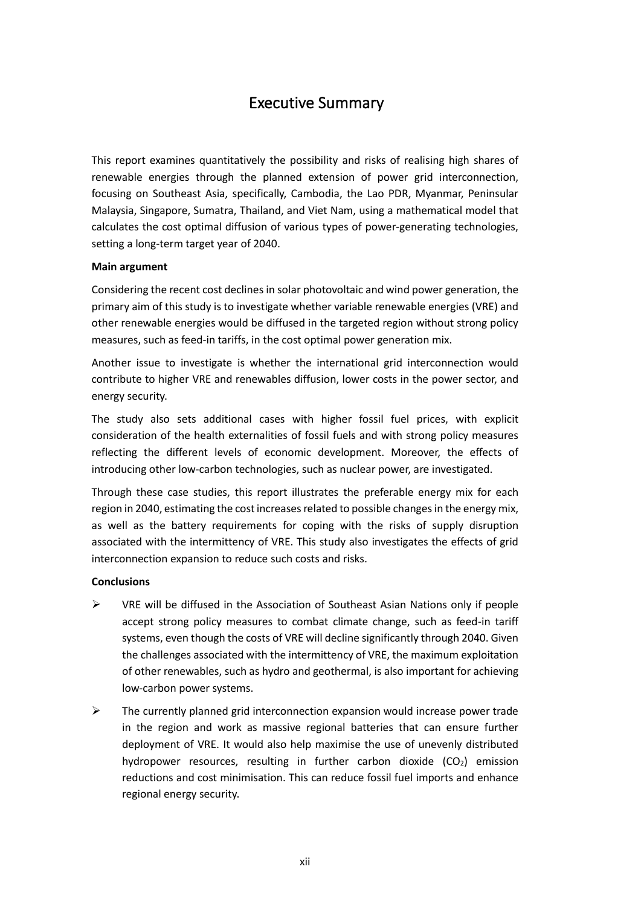## Executive Summary

This report examines quantitatively the possibility and risks of realising high shares of renewable energies through the planned extension of power grid interconnection, focusing on Southeast Asia, specifically, Cambodia, the Lao PDR, Myanmar, Peninsular Malaysia, Singapore, Sumatra, Thailand, and Viet Nam, using a mathematical model that calculates the cost optimal diffusion of various types of power-generating technologies, setting a long-term target year of 2040.

## **Main argument**

Considering the recent cost declines in solar photovoltaic and wind power generation, the primary aim of this study is to investigate whether variable renewable energies (VRE) and other renewable energies would be diffused in the targeted region without strong policy measures, such as feed-in tariffs, in the cost optimal power generation mix.

Another issue to investigate is whether the international grid interconnection would contribute to higher VRE and renewables diffusion, lower costs in the power sector, and energy security.

The study also sets additional cases with higher fossil fuel prices, with explicit consideration of the health externalities of fossil fuels and with strong policy measures reflecting the different levels of economic development. Moreover, the effects of introducing other low-carbon technologies, such as nuclear power, are investigated.

Through these case studies, this report illustrates the preferable energy mix for each region in 2040, estimating the cost increases related to possible changes in the energy mix, as well as the battery requirements for coping with the risks of supply disruption associated with the intermittency of VRE. This study also investigates the effects of grid interconnection expansion to reduce such costs and risks.

## **Conclusions**

- $\triangleright$  VRE will be diffused in the Association of Southeast Asian Nations only if people accept strong policy measures to combat climate change, such as feed-in tariff systems, even though the costs of VRE will decline significantly through 2040. Given the challenges associated with the intermittency of VRE, the maximum exploitation of other renewables, such as hydro and geothermal, is also important for achieving low-carbon power systems.
- $\triangleright$  The currently planned grid interconnection expansion would increase power trade in the region and work as massive regional batteries that can ensure further deployment of VRE. It would also help maximise the use of unevenly distributed hydropower resources, resulting in further carbon dioxide  $(CO<sub>2</sub>)$  emission reductions and cost minimisation. This can reduce fossil fuel imports and enhance regional energy security.